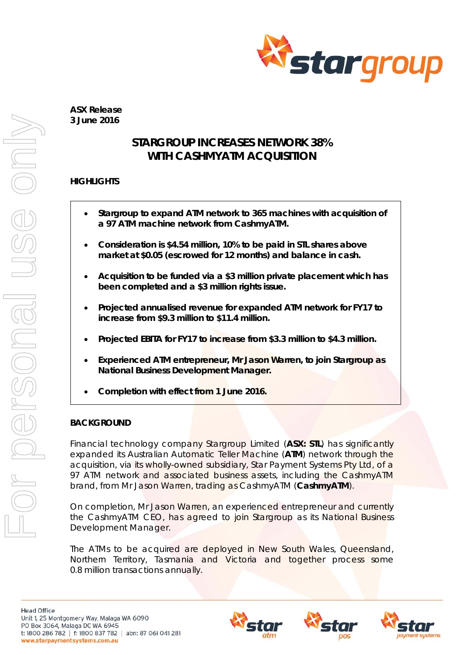

**ASX Release 3 June 2016** 

# **STARGROUP INCREASES NETWORK 38% WITH CASHMYATM ACQUISITION**

# **HIGHLIGHTS**

- **Stargroup to expand ATM network to 365 machines with acquisition of a 97 ATM machine network from CashmyATM.**
- **Consideration is \$4.54 million, 10% to be paid in STL shares above market at \$0.05 (escrowed for 12 months) and balance in cash.**
- **Acquisition to be funded via a \$3 million private placement which has been completed and a \$3 million rights issue.**
- **Projected annualised revenue for expanded ATM network for FY17 to increase from \$9.3 million to \$11.4 million.**
- **Projected EBITA for FY17 to increase from \$3.3 million to \$4.3 million.**
- **Experienced ATM entrepreneur, Mr Jason Warren, to join Stargroup as National Business Development Manager.**
- **Completion with effect from 1 June 2016.**

# **BACKGROUND**

Financial technology company Stargroup Limited (**ASX: STL**) has significantly expanded its Australian Automatic Teller Machine (**ATM**) network through the acquisition, via its wholly-owned subsidiary, Star Payment Systems Pty Ltd, of a 97 ATM network and associated business assets, including the CashmyATM brand, from Mr Jason Warren, trading as CashmyATM (**CashmyATM**).

On completion, Mr Jason Warren, an experienced entrepreneur and currently the CashmyATM CEO, has agreed to join Stargroup as its National Business Development Manager.

The ATMs to be acquired are deployed in New South Wales, Queensland, Northern Territory, Tasmania and Victoria and together process some 0.8 million transactions annually.





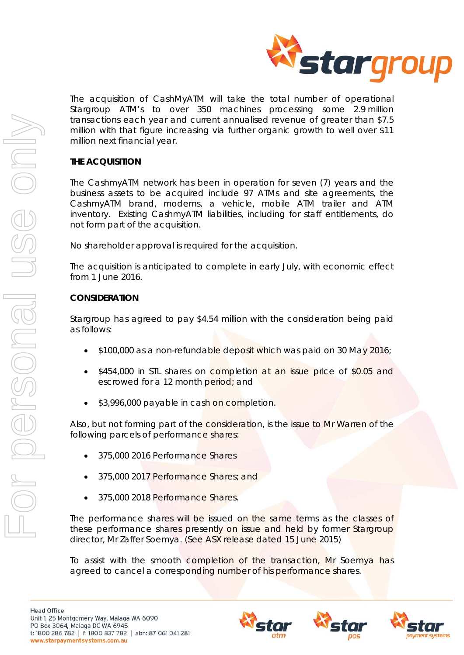

The acquisition of CashMyATM will take the total number of operational Stargroup ATM's to over 350 machines processing some 2.9 million transactions each year and current annualised revenue of greater than \$7.5 million with that figure increasing via further organic growth to well over \$11 million next financial year.

## **THE ACQUISITION**

The CashmyATM network has been in operation for seven (7) years and the business assets to be acquired include 97 ATMs and site agreements, the CashmyATM brand, modems, a vehicle, mobile ATM trailer and ATM inventory. Existing CashmyATM liabilities, including for staff entitlements, do not form part of the acquisition.

No shareholder approval is required for the acquisition.

The acquisition is anticipated to complete in early July, with economic effect from 1 June 2016.

#### **CONSIDERATION**

Stargroup has agreed to pay \$4.54 million with the consideration being paid as follows:

- \$100,000 as a non-refundable deposit which was paid on 30 May 2016;
- \$454,000 in STL shares on completion at an issue price of \$0.05 and escrowed for a 12 month period; and
- \$3,996,000 payable in cash on completion.

Also, but not forming part of the consideration, is the issue to Mr Warren of the following parcels of performance shares:

- 375,000 2016 Performance Shares
- 375,000 2017 Performance Shares; and
- 375,000 2018 Performance Shares.

The performance shares will be issued on the same terms as the classes of these performance shares presently on issue and held by former Stargroup director, Mr Zaffer Soemya. (See ASX release dated 15 June 2015)

To assist with the smooth completion of the transaction, Mr Soemya has agreed to cancel a corresponding number of his performance shares.





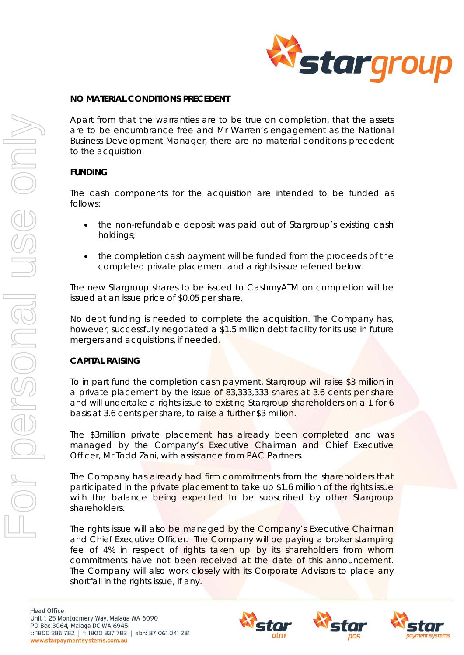

#### **NO MATERIAL CONDITIONS PRECEDENT**

Apart from that the warranties are to be true on completion, that the assets are to be encumbrance free and Mr Warren's engagement as the National Business Development Manager, there are no material conditions precedent to the acquisition.

#### **FUNDING**

The cash components for the acquisition are intended to be funded as follows:

- the non-refundable deposit was paid out of Stargroup's existing cash holdings;
- the completion cash payment will be funded from the proceeds of the completed private placement and a rights issue referred below.

The new Stargroup shares to be issued to CashmyATM on completion will be issued at an issue price of \$0.05 per share.

No debt funding is needed to complete the acquisition. The Company has, however, successfully negotiated a \$1.5 million debt facility for its use in future mergers and acquisitions, if needed.

#### **CAPITAL RAISING**

To in part fund the completion cash payment, Stargroup will raise \$3 million in a private placement by the issue of 83,333,333 shares at 3.6 cents per share and will undertake a rights issue to existing Stargroup shareholders on a 1 for 6 basis at 3.6 cents per share, to raise a further \$3 million.

The \$3million private placement has already been completed and was managed by the Company's Executive Chairman and Chief Executive Officer, Mr Todd Zani, with assistance from PAC Partners.

The Company has already had firm commitments from the shareholders that participated in the private placement to take up \$1.6 million of the rights issue with the balance being expected to be subscribed by other Stargroup shareholders.

The rights issue will also be managed by the Company's Executive Chairman and Chief Executive Officer. The Company will be paying a broker stamping fee of 4% in respect of rights taken up by its shareholders from whom commitments have not been received at the date of this announcement. The Company will also work closely with its Corporate Advisors to place any shortfall in the rights issue, if any.





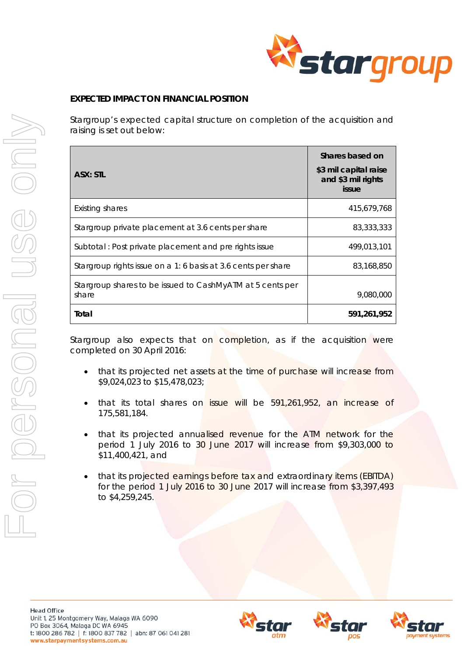

## **EXPECTED IMPACT ON FINANCIAL POSITION**

Stargroup's expected capital structure on completion of the acquisition and raising is set out below:

| <b>ASX: STL</b>                                                    | Shares based on<br>\$3 mil capital raise<br>and \$3 mil rights<br>issue |
|--------------------------------------------------------------------|-------------------------------------------------------------------------|
| <b>Existing shares</b>                                             | 415.679.768                                                             |
| Stargroup private placement at 3.6 cents per share                 | 83,333,333                                                              |
| Subtotal: Post private placement and pre rights issue              | 499,013,101                                                             |
| Stargroup rights issue on a 1: 6 basis at 3.6 cents per share      | 83,168,850                                                              |
| Stargroup shares to be issued to CashMyATM at 5 cents per<br>share | 9,080,000                                                               |
| Total                                                              | 591,261,952                                                             |

Stargroup also expects that on completion, as if the acquisition were completed on 30 April 2016:

- that its projected net assets at the time of purchase will increase from \$9,024,023 to \$15,478,023;
- that its total shares on issue will be 591,261,952, an increase of 175,581,184.
- that its projected annualised revenue for the ATM network for the period 1 July 2016 to 30 June 2017 will increase from \$9,303,000 to \$11,400,421, and
- that its projected earnings before tax and extraordinary items (EBITDA) for the period 1 July 2016 to 30 June 2017 will increase from \$3,397,493 to \$4,259,245.





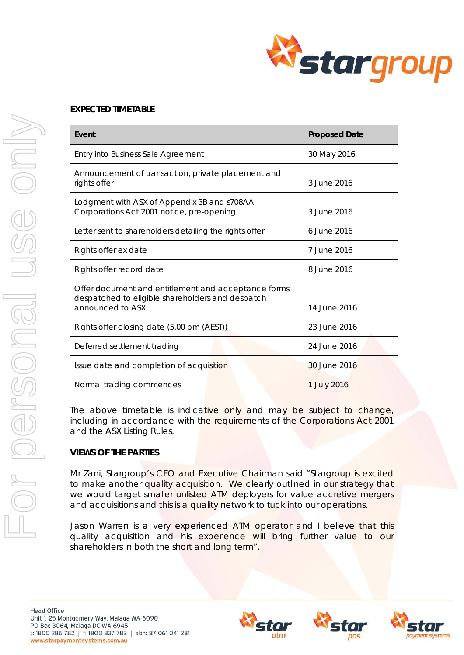

### **EXPECTED TIMETABLE**

| Event                                                                                                                       | <b>Proposed Date</b> |
|-----------------------------------------------------------------------------------------------------------------------------|----------------------|
| Entry into Business Sale Agreement                                                                                          | 30 May 2016          |
| Announcement of transaction, private placement and<br>rights offer                                                          | 3 June 2016          |
| Lodgment with ASX of Appendix 3B and s708AA<br>Corporations Act 2001 notice, pre-opening                                    | 3 June 2016          |
| Letter sent to shareholders detailing the rights offer                                                                      | 6 June 2016          |
| Rights offer ex date                                                                                                        | 7 June 2016          |
| Rights offer record date                                                                                                    | 8 June 2016          |
| Offer document and entitlement and acceptance forms<br>despatched to eligible shareholders and despatch<br>announced to ASX | 14 June 2016         |
| Rights offer closing date (5.00 pm (AEST))                                                                                  | 23 June 2016         |
| Deferred settlement trading                                                                                                 | 24 June 2016         |
| Issue date and completion of acquisition                                                                                    | 30 June 2016         |
| Normal trading commences                                                                                                    | 1 July 2016          |

The above timetable is indicative only and may be subject to change, including in accordance with the requirements of the *Corporations Act 2001* and the ASX Listing Rules.

## **VIEWS OF THE PARTIES**

Mr Zani, Stargroup's CEO and Executive Chairman said "*Stargroup is excited*  to make another quality acquisition. We clearly outlined in our strategy that *we would target smaller unlisted ATM deployers for value accretive mergers and acquisitions and this is a quality network to tuck into our operations.* 

Jason Warren is a very experienced ATM operator and I believe that this *quality acquisition and his experience will bring further value to our shareholders in both the short and long term"*.





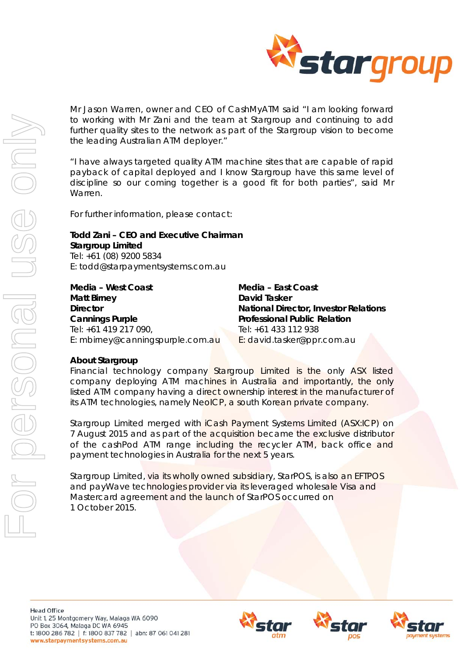

Mr Jason Warren, owner and CEO of CashMyATM said "*I am looking forward to working with Mr Zani and the team at Stargroup and continuing to add*  further quality sites to the network as part of the Stargroup vision to become *the leading Australian ATM deployer."* 

*"I have always targeted quality ATM machine sites that are capable of rapid payback of capital deployed and I know Stargroup have this same level of discipline so our coming together is a good fit for both parties*", said Mr Warren.

For further information, please contact:

# **Todd Zani – CEO and Executive Chairman Stargroup Limited**  Tel: +61 (08) 9200 5834

E: todd@starpaymentsystems.com.au

| Media - West Coast               | Media - East Coast                           |  |
|----------------------------------|----------------------------------------------|--|
| <b>Matt Birney</b>               | <b>David Tasker</b>                          |  |
| <b>Director</b>                  | <b>National Director, Investor Relations</b> |  |
| <b>Cannings Purple</b>           | <b>Professional Public Relation</b>          |  |
| Tel: +61 419 217 090,            | Tel: +61 433 112 938                         |  |
| E: mbirney@canningspurple.com.au | E: david.tasker@ppr.com.au                   |  |

#### *About Stargroup*

Financial technology company Stargroup Limited is the only ASX listed company deploying ATM machines in Australia and importantly, the only listed ATM company having a direct ownership interest in the manufacturer of its ATM technologies, namely NeoICP, a south Korean private company.

Stargroup Limited merged with iCash Payment Systems Limited (ASX:ICP) on 7 August 2015 and as part of the acquisition became the exclusive distributor of the cashPod ATM range including the recycler ATM, back office and payment technologies in Australia for the next 5 years.

Stargroup Limited, via its wholly owned subsidiary, StarPOS, is also an EFTPOS and payWave technologies provider via its leveraged wholesale Visa and Mastercard agreement and the launch of StarPOS occurred on 1 October 2015.

**Head Office** Unit 1, 25 Montgomery Way, Malaga WA 6090 PO Box 3064, Malaga DC WA 6945 t: 1800 286 782 | f: 1800 837 782 | abn: 87 061 041 281 www.starpaymentsystems.com.au